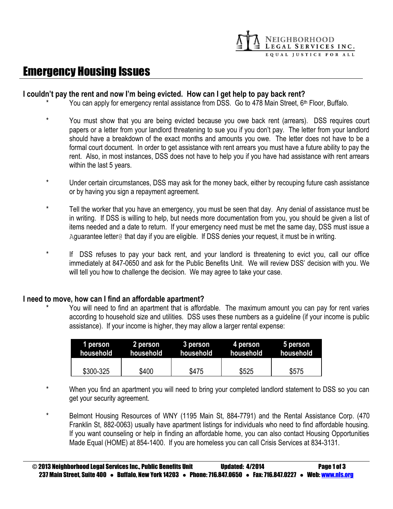

# Emergency Housing Issues

#### **I couldn't pay the rent and now I'm being evicted. How can I get help to pay back rent?**

- You can apply for emergency rental assistance from DSS. Go to 478 Main Street, 6<sup>th</sup> Floor, Buffalo.
- You must show that you are being evicted because you owe back rent (arrears). DSS requires court papers or a letter from your landlord threatening to sue you if you don't pay. The letter from your landlord should have a breakdown of the exact months and amounts you owe. The letter does not have to be a formal court document. In order to get assistance with rent arrears you must have a future ability to pay the rent. Also, in most instances, DSS does not have to help you if you have had assistance with rent arrears within the last 5 years.
- \* Under certain circumstances, DSS may ask for the money back, either by recouping future cash assistance or by having you sign a repayment agreement.
- \* Tell the worker that you have an emergency, you must be seen that day. Any denial of assistance must be in writing. If DSS is willing to help, but needs more documentation from you, you should be given a list of items needed and a date to return. If your emergency need must be met the same day, DSS must issue a Aguarantee letter@ that day if you are eligible. If DSS denies your request, it must be in writing.
- If DSS refuses to pay your back rent, and your landlord is threatening to evict you, call our office immediately at 847-0650 and ask for the Public Benefits Unit. We will review DSS' decision with you. We will tell you how to challenge the decision. We may agree to take your case.

#### **I need to move, how can I find an affordable apartment?**

You will need to find an apartment that is affordable. The maximum amount you can pay for rent varies according to household size and utilities. DSS uses these numbers as a guideline (if your income is public assistance). If your income is higher, they may allow a larger rental expense:

| 1 person  | 2 person  | 3 person  | 4 person  | 5 person                |
|-----------|-----------|-----------|-----------|-------------------------|
| household | household | household | household | .household <sup>.</sup> |
| \$300-325 | \$400     | \$475     | \$525     | \$575                   |

- When you find an apartment you will need to bring your completed landlord statement to DSS so you can get your security agreement.
- Belmont Housing Resources of WNY (1195 Main St, 884-7791) and the Rental Assistance Corp. (470 Franklin St, 882-0063) usually have apartment listings for individuals who need to find affordable housing. If you want counseling or help in finding an affordable home, you can also contact Housing Opportunities Made Equal (HOME) at 854-1400. If you are homeless you can call Crisis Services at 834-3131.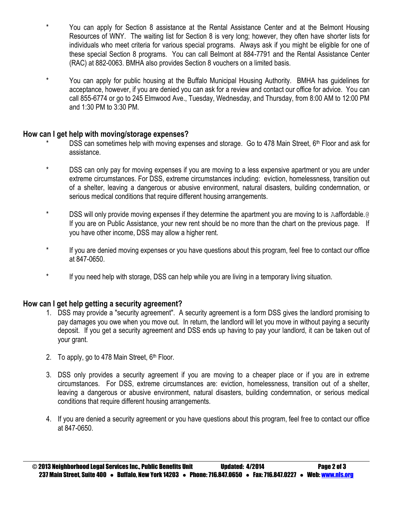- \* You can apply for Section 8 assistance at the Rental Assistance Center and at the Belmont Housing Resources of WNY. The waiting list for Section 8 is very long; however, they often have shorter lists for individuals who meet criteria for various special programs. Always ask if you might be eligible for one of these special Section 8 programs. You can call Belmont at 884-7791 and the Rental Assistance Center (RAC) at 882-0063. BMHA also provides Section 8 vouchers on a limited basis.
- \* You can apply for public housing at the Buffalo Municipal Housing Authority. BMHA has guidelines for acceptance, however, if you are denied you can ask for a review and contact our office for advice. You can call 855-6774 or go to 245 Elmwood Ave., Tuesday, Wednesday, and Thursday, from 8:00 AM to 12:00 PM and 1:30 PM to 3:30 PM.

# **How can I get help with moving/storage expenses?**

- DSS can sometimes help with moving expenses and storage. Go to 478 Main Street,  $6<sup>th</sup>$  Floor and ask for assistance.
- \* DSS can only pay for moving expenses if you are moving to a less expensive apartment or you are under extreme circumstances. For DSS, extreme circumstances including: eviction, homelessness, transition out of a shelter, leaving a dangerous or abusive environment, natural disasters, building condemnation, or serious medical conditions that require different housing arrangements.
- \* DSS will only provide moving expenses if they determine the apartment you are moving to is Aaffordable.@ If you are on Public Assistance, your new rent should be no more than the chart on the previous page. If you have other income, DSS may allow a higher rent.
- \* If you are denied moving expenses or you have questions about this program, feel free to contact our office at 847-0650.
- \* If you need help with storage, DSS can help while you are living in a temporary living situation.

# **How can I get help getting a security agreement?**

- 1. DSS may provide a "security agreement". A security agreement is a form DSS gives the landlord promising to pay damages you owe when you move out. In return, the landlord will let you move in without paying a security deposit. If you get a security agreement and DSS ends up having to pay your landlord, it can be taken out of your grant.
- 2. To apply, go to 478 Main Street,  $6<sup>th</sup>$  Floor.
- 3. DSS only provides a security agreement if you are moving to a cheaper place or if you are in extreme circumstances. For DSS, extreme circumstances are: eviction, homelessness, transition out of a shelter, leaving a dangerous or abusive environment, natural disasters, building condemnation, or serious medical conditions that require different housing arrangements.
- 4. If you are denied a security agreement or you have questions about this program, feel free to contact our office at 847-0650.